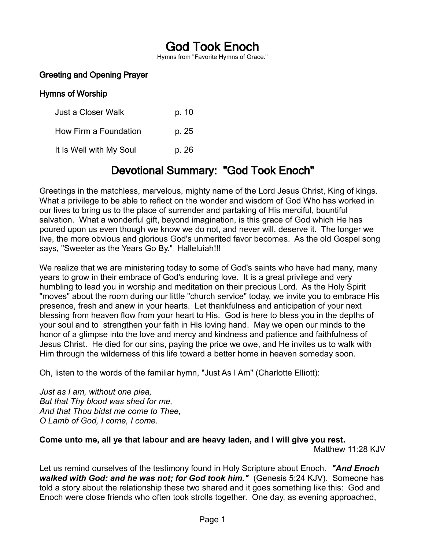# God Took Enoch

Hymns from "Favorite Hymns of Grace."

## Greeting and Opening Prayer

#### Hymns of Worship

Just a Closer Walk b. 10 How Firm a Foundation p. 25 It Is Well with My Soul b. 26

## Devotional Summary: "God Took Enoch"

Greetings in the matchless, marvelous, mighty name of the Lord Jesus Christ, King of kings. What a privilege to be able to reflect on the wonder and wisdom of God Who has worked in our lives to bring us to the place of surrender and partaking of His merciful, bountiful salvation. What a wonderful gift, beyond imagination, is this grace of God which He has poured upon us even though we know we do not, and never will, deserve it. The longer we live, the more obvious and glorious God's unmerited favor becomes. As the old Gospel song says, "Sweeter as the Years Go By." Halleluiah!!!

We realize that we are ministering today to some of God's saints who have had many, many years to grow in their embrace of God's enduring love. It is a great privilege and very humbling to lead you in worship and meditation on their precious Lord. As the Holy Spirit "moves" about the room during our little "church service" today, we invite you to embrace His presence, fresh and anew in your hearts. Let thankfulness and anticipation of your next blessing from heaven flow from your heart to His. God is here to bless you in the depths of your soul and to strengthen your faith in His loving hand. May we open our minds to the honor of a glimpse into the love and mercy and kindness and patience and faithfulness of Jesus Christ. He died for our sins, paying the price we owe, and He invites us to walk with Him through the wilderness of this life toward a better home in heaven someday soon.

Oh, listen to the words of the familiar hymn, "Just As I Am" (Charlotte Elliott):

*Just as I am, without one plea, But that Thy blood was shed for me, And that Thou bidst me come to Thee, O Lamb of God, I come, I come.*

## **Come unto me, all ye that labour and are heavy laden, and I will give you rest.**

Matthew 11:28 KJV

Let us remind ourselves of the testimony found in Holy Scripture about Enoch. *"And Enoch walked with God: and he was not; for God took him."* (Genesis 5:24 KJV). Someone has told a story about the relationship these two shared and it goes something like this: God and Enoch were close friends who often took strolls together. One day, as evening approached,